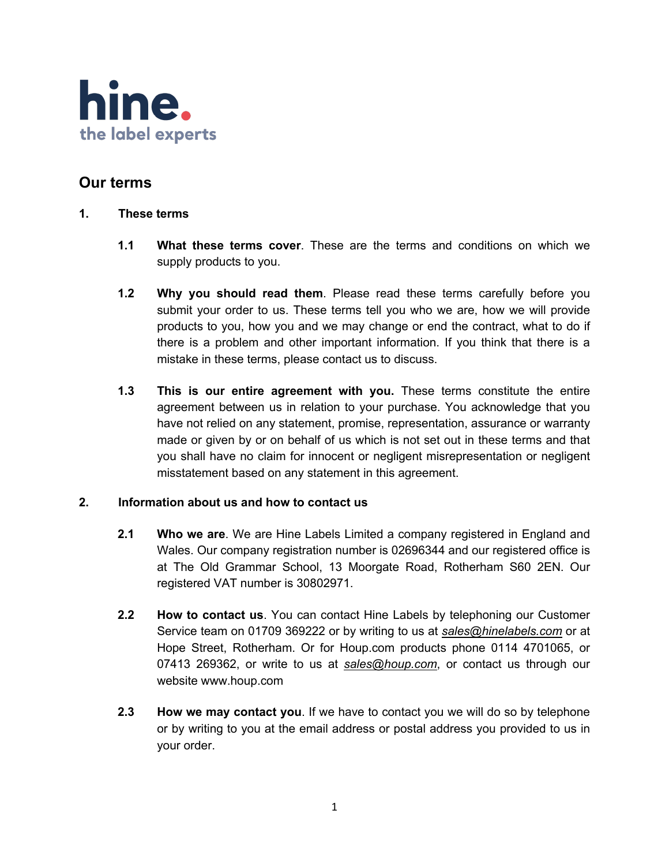

# **Our terms**

- **1. These terms**
	- **1.1 What these terms cover**. These are the terms and conditions on which we supply products to you.
	- **1.2 Why you should read them**. Please read these terms carefully before you submit your order to us. These terms tell you who we are, how we will provide products to you, how you and we may change or end the contract, what to do if there is a problem and other important information. If you think that there is a mistake in these terms, please contact us to discuss.
	- **1.3 This is our entire agreement with you.** These terms constitute the entire agreement between us in relation to your purchase. You acknowledge that you have not relied on any statement, promise, representation, assurance or warranty made or given by or on behalf of us which is not set out in these terms and that you shall have no claim for innocent or negligent misrepresentation or negligent misstatement based on any statement in this agreement.

# **2. Information about us and how to contact us**

- **2.1 Who we are**. We are Hine Labels Limited a company registered in England and Wales. Our company registration number is 02696344 and our registered office is at The Old Grammar School, 13 Moorgate Road, Rotherham S60 2EN. Our registered VAT number is 30802971.
- **2.2 How to contact us**. You can contact Hine Labels by telephoning our Customer Service team on 01709 369222 or by writing to us at *sales@hinelabels.com* or at Hope Street, Rotherham. Or for Houp.com products phone 0114 4701065, or 07413 269362, or write to us at *sales@houp.com*, or contact us through our website www.houp.com
- **2.3 How we may contact you**. If we have to contact you we will do so by telephone or by writing to you at the email address or postal address you provided to us in your order.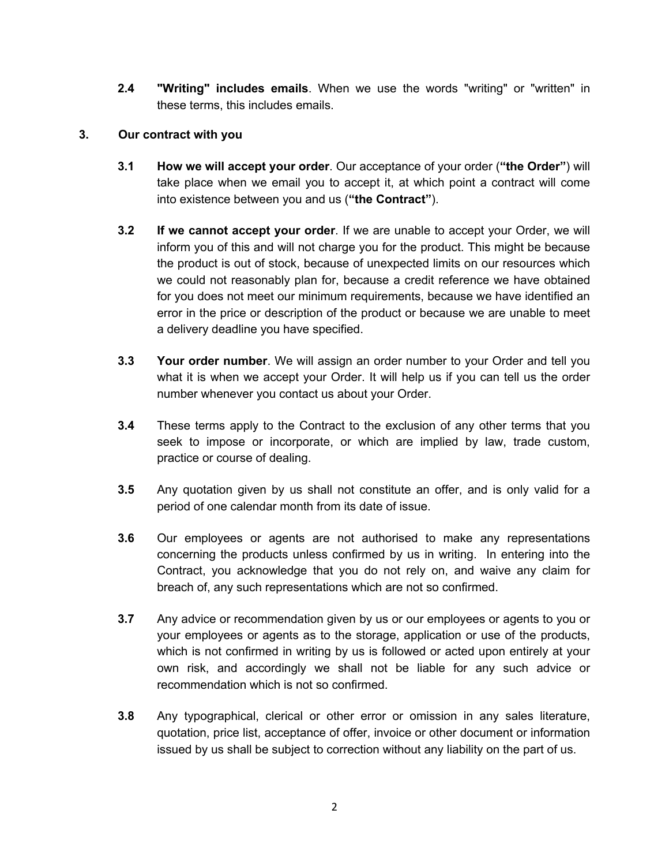**2.4 "Writing" includes emails**. When we use the words "writing" or "written" in these terms, this includes emails.

# **3. Our contract with you**

- **3.1 How we will accept your order**. Our acceptance of your order (**"the Order"**) will take place when we email you to accept it, at which point a contract will come into existence between you and us (**"the Contract"**).
- **3.2 If we cannot accept your order**. If we are unable to accept your Order, we will inform you of this and will not charge you for the product. This might be because the product is out of stock, because of unexpected limits on our resources which we could not reasonably plan for, because a credit reference we have obtained for you does not meet our minimum requirements, because we have identified an error in the price or description of the product or because we are unable to meet a delivery deadline you have specified.
- **3.3 Your order number**. We will assign an order number to your Order and tell you what it is when we accept your Order. It will help us if you can tell us the order number whenever you contact us about your Order.
- **3.4** These terms apply to the Contract to the exclusion of any other terms that you seek to impose or incorporate, or which are implied by law, trade custom, practice or course of dealing.
- **3.5** Any quotation given by us shall not constitute an offer, and is only valid for a period of one calendar month from its date of issue.
- **3.6** Our employees or agents are not authorised to make any representations concerning the products unless confirmed by us in writing. In entering into the Contract, you acknowledge that you do not rely on, and waive any claim for breach of, any such representations which are not so confirmed.
- **3.7** Any advice or recommendation given by us or our employees or agents to you or your employees or agents as to the storage, application or use of the products, which is not confirmed in writing by us is followed or acted upon entirely at your own risk, and accordingly we shall not be liable for any such advice or recommendation which is not so confirmed.
- **3.8** Any typographical, clerical or other error or omission in any sales literature, quotation, price list, acceptance of offer, invoice or other document or information issued by us shall be subject to correction without any liability on the part of us.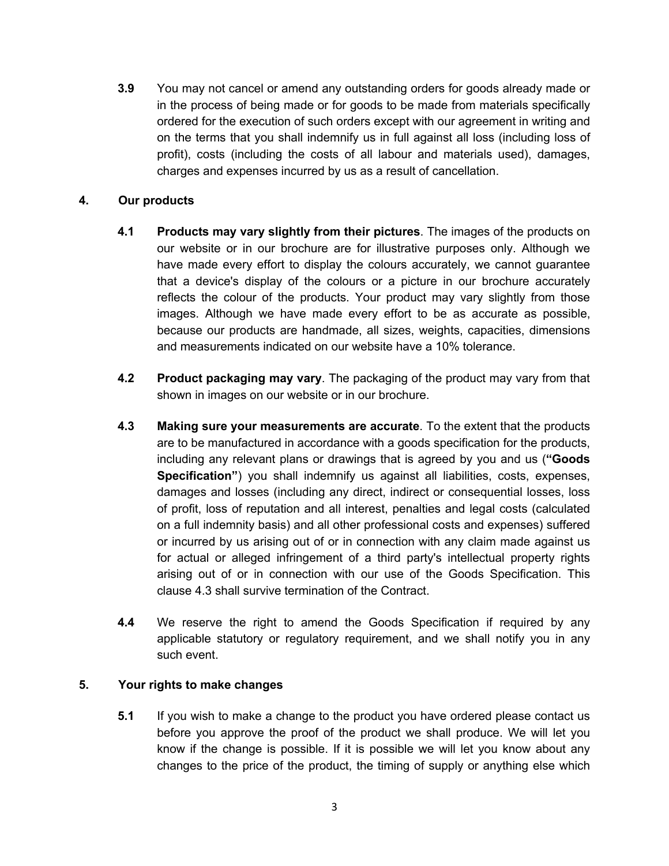**3.9** You may not cancel or amend any outstanding orders for goods already made or in the process of being made or for goods to be made from materials specifically ordered for the execution of such orders except with our agreement in writing and on the terms that you shall indemnify us in full against all loss (including loss of profit), costs (including the costs of all labour and materials used), damages, charges and expenses incurred by us as a result of cancellation.

# **4. Our products**

- **4.1 Products may vary slightly from their pictures**. The images of the products on our website or in our brochure are for illustrative purposes only. Although we have made every effort to display the colours accurately, we cannot guarantee that a device's display of the colours or a picture in our brochure accurately reflects the colour of the products. Your product may vary slightly from those images. Although we have made every effort to be as accurate as possible, because our products are handmade, all sizes, weights, capacities, dimensions and measurements indicated on our website have a 10% tolerance.
- **4.2 Product packaging may vary**. The packaging of the product may vary from that shown in images on our website or in our brochure.
- **4.3 Making sure your measurements are accurate**. To the extent that the products are to be manufactured in accordance with a goods specification for the products, including any relevant plans or drawings that is agreed by you and us (**"Goods Specification"**) you shall indemnify us against all liabilities, costs, expenses, damages and losses (including any direct, indirect or consequential losses, loss of profit, loss of reputation and all interest, penalties and legal costs (calculated on a full indemnity basis) and all other professional costs and expenses) suffered or incurred by us arising out of or in connection with any claim made against us for actual or alleged infringement of a third party's intellectual property rights arising out of or in connection with our use of the Goods Specification. This clause 4.3 shall survive termination of the Contract.
- **4.4** We reserve the right to amend the Goods Specification if required by any applicable statutory or regulatory requirement, and we shall notify you in any such event.

# **5. Your rights to make changes**

**5.1** If you wish to make a change to the product you have ordered please contact us before you approve the proof of the product we shall produce. We will let you know if the change is possible. If it is possible we will let you know about any changes to the price of the product, the timing of supply or anything else which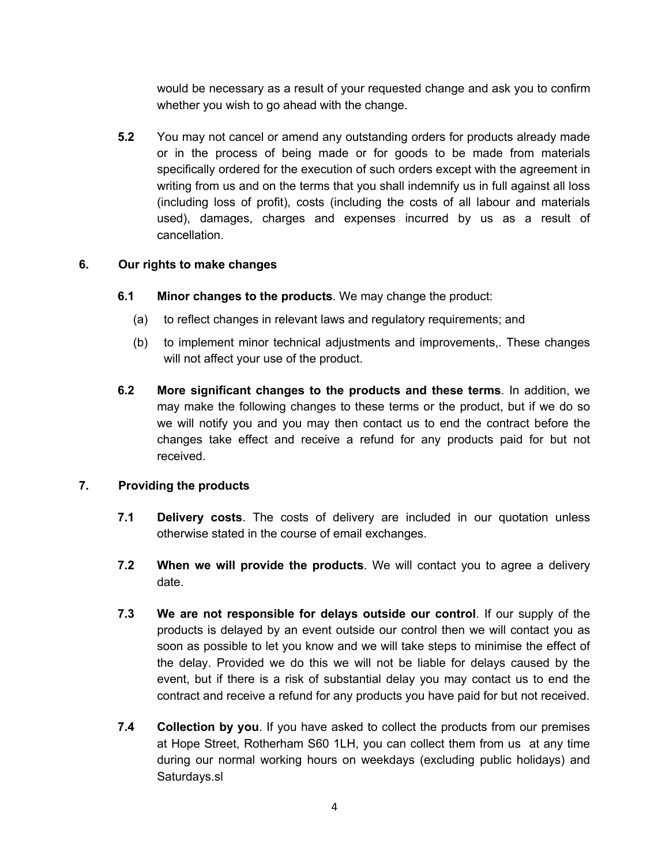would be necessary as a result of your requested change and ask you to confirm whether you wish to go ahead with the change.

**5.2** You may not cancel or amend any outstanding orders for products already made or in the process of being made or for goods to be made from materials specifically ordered for the execution of such orders except with the agreement in writing from us and on the terms that you shall indemnify us in full against all loss (including loss of profit), costs (including the costs of all labour and materials used), damages, charges and expenses incurred by us as a result of cancellation.

# **6. Our rights to make changes**

- **6.1 Minor changes to the products**. We may change the product:
	- (a) to reflect changes in relevant laws and regulatory requirements; and
	- (b) to implement minor technical adjustments and improvements,. These changes will not affect your use of the product.
- **6.2 More significant changes to the products and these terms**. In addition, we may make the following changes to these terms or the product, but if we do so we will notify you and you may then contact us to end the contract before the changes take effect and receive a refund for any products paid for but not received.

#### **7. Providing the products**

- **7.1 Delivery costs**. The costs of delivery are included in our quotation unless otherwise stated in the course of email exchanges.
- **7.2 When we will provide the products**. We will contact you to agree a delivery date.
- **7.3 We are not responsible for delays outside our control**. If our supply of the products is delayed by an event outside our control then we will contact you as soon as possible to let you know and we will take steps to minimise the effect of the delay. Provided we do this we will not be liable for delays caused by the event, but if there is a risk of substantial delay you may contact us to end the contract and receive a refund for any products you have paid for but not received.
- **7.4 Collection by you**. If you have asked to collect the products from our premises at Hope Street, Rotherham S60 1LH, you can collect them from us at any time during our normal working hours on weekdays (excluding public holidays) and Saturdays.sl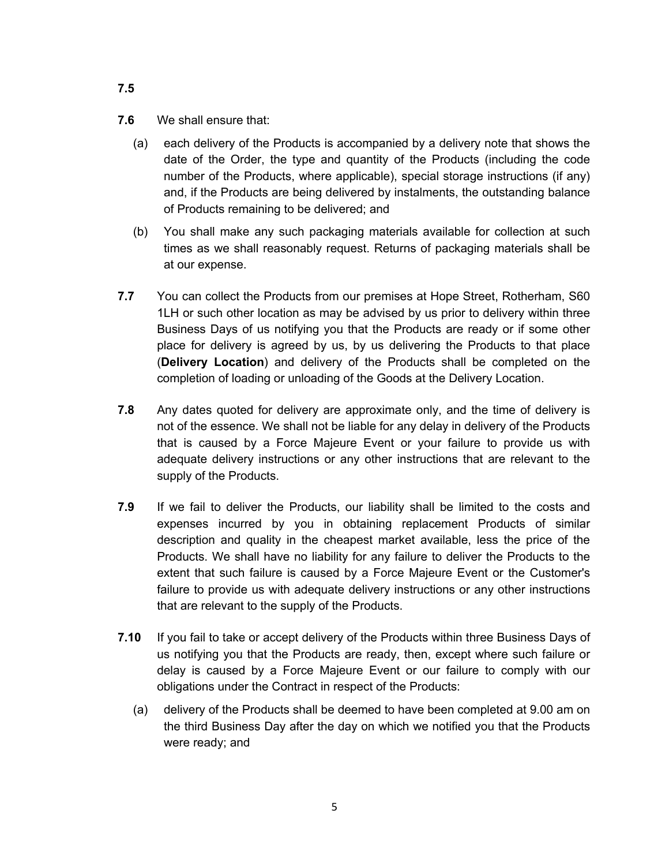- **7.6** We shall ensure that:
	- (a) each delivery of the Products is accompanied by a delivery note that shows the date of the Order, the type and quantity of the Products (including the code number of the Products, where applicable), special storage instructions (if any) and, if the Products are being delivered by instalments, the outstanding balance of Products remaining to be delivered; and
	- (b) You shall make any such packaging materials available for collection at such times as we shall reasonably request. Returns of packaging materials shall be at our expense.
- **7.7** You can collect the Products from our premises at Hope Street, Rotherham, S60 1LH or such other location as may be advised by us prior to delivery within three Business Days of us notifying you that the Products are ready or if some other place for delivery is agreed by us, by us delivering the Products to that place (**Delivery Location**) and delivery of the Products shall be completed on the completion of loading or unloading of the Goods at the Delivery Location.
- **7.8** Any dates quoted for delivery are approximate only, and the time of delivery is not of the essence. We shall not be liable for any delay in delivery of the Products that is caused by a Force Majeure Event or your failure to provide us with adequate delivery instructions or any other instructions that are relevant to the supply of the Products.
- **7.9** If we fail to deliver the Products, our liability shall be limited to the costs and expenses incurred by you in obtaining replacement Products of similar description and quality in the cheapest market available, less the price of the Products. We shall have no liability for any failure to deliver the Products to the extent that such failure is caused by a Force Majeure Event or the Customer's failure to provide us with adequate delivery instructions or any other instructions that are relevant to the supply of the Products.
- **7.10** If you fail to take or accept delivery of the Products within three Business Days of us notifying you that the Products are ready, then, except where such failure or delay is caused by a Force Majeure Event or our failure to comply with our obligations under the Contract in respect of the Products:
	- (a) delivery of the Products shall be deemed to have been completed at 9.00 am on the third Business Day after the day on which we notified you that the Products were ready; and

**7.5**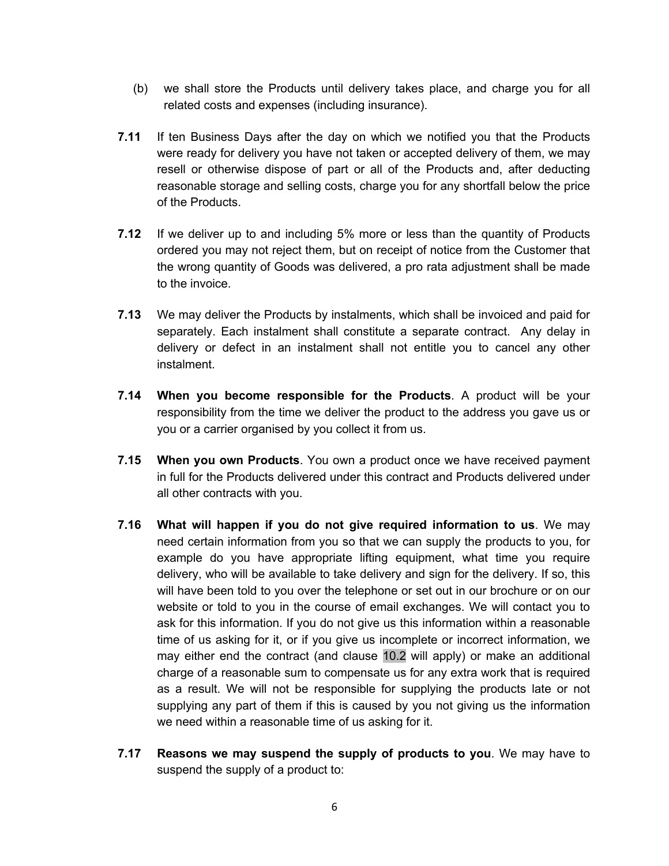- (b) we shall store the Products until delivery takes place, and charge you for all related costs and expenses (including insurance).
- **7.11** If ten Business Days after the day on which we notified you that the Products were ready for delivery you have not taken or accepted delivery of them, we may resell or otherwise dispose of part or all of the Products and, after deducting reasonable storage and selling costs, charge you for any shortfall below the price of the Products.
- **7.12** If we deliver up to and including 5% more or less than the quantity of Products ordered you may not reject them, but on receipt of notice from the Customer that the wrong quantity of Goods was delivered, a pro rata adjustment shall be made to the invoice.
- **7.13** We may deliver the Products by instalments, which shall be invoiced and paid for separately. Each instalment shall constitute a separate contract. Any delay in delivery or defect in an instalment shall not entitle you to cancel any other instalment.
- **7.14 When you become responsible for the Products**. A product will be your responsibility from the time we deliver the product to the address you gave us or you or a carrier organised by you collect it from us.
- **7.15 When you own Products**. You own a product once we have received payment in full for the Products delivered under this contract and Products delivered under all other contracts with you.
- **7.16 What will happen if you do not give required information to us**. We may need certain information from you so that we can supply the products to you, for example do you have appropriate lifting equipment, what time you require delivery, who will be available to take delivery and sign for the delivery. If so, this will have been told to you over the telephone or set out in our brochure or on our website or told to you in the course of email exchanges. We will contact you to ask for this information. If you do not give us this information within a reasonable time of us asking for it, or if you give us incomplete or incorrect information, we may either end the contract (and clause 10.2 will apply) or make an additional charge of a reasonable sum to compensate us for any extra work that is required as a result. We will not be responsible for supplying the products late or not supplying any part of them if this is caused by you not giving us the information we need within a reasonable time of us asking for it.
- **7.17 Reasons we may suspend the supply of products to you**. We may have to suspend the supply of a product to: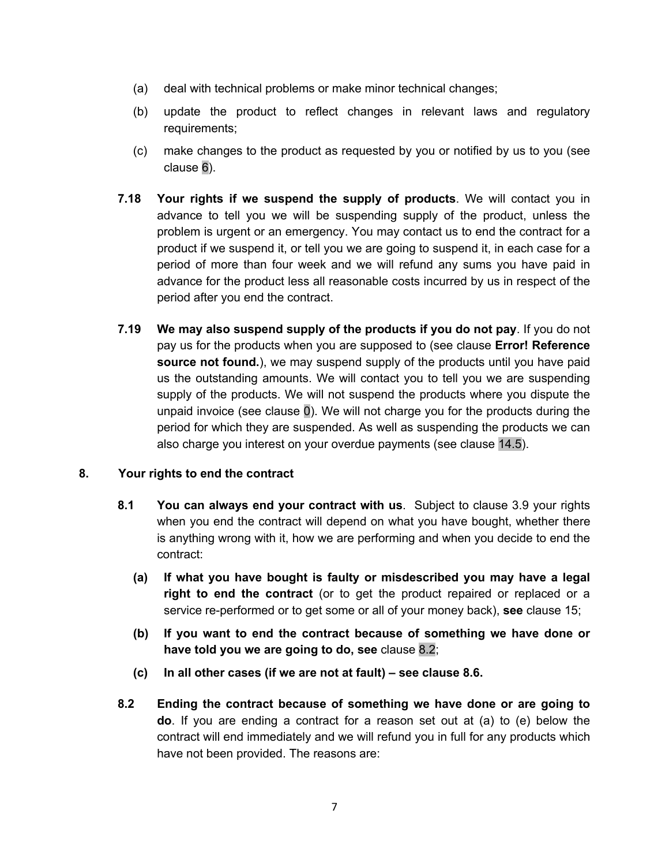- (a) deal with technical problems or make minor technical changes;
- (b) update the product to reflect changes in relevant laws and regulatory requirements;
- (c) make changes to the product as requested by you or notified by us to you (see clause 6).
- **7.18 Your rights if we suspend the supply of products**. We will contact you in advance to tell you we will be suspending supply of the product, unless the problem is urgent or an emergency. You may contact us to end the contract for a product if we suspend it, or tell you we are going to suspend it, in each case for a period of more than four week and we will refund any sums you have paid in advance for the product less all reasonable costs incurred by us in respect of the period after you end the contract.
- **7.19 We may also suspend supply of the products if you do not pay**. If you do not pay us for the products when you are supposed to (see clause **Error! Reference source not found.**), we may suspend supply of the products until you have paid us the outstanding amounts. We will contact you to tell you we are suspending supply of the products. We will not suspend the products where you dispute the unpaid invoice (see clause 0). We will not charge you for the products during the period for which they are suspended. As well as suspending the products we can also charge you interest on your overdue payments (see clause 14.5).

#### **8. Your rights to end the contract**

- **8.1 You can always end your contract with us**. Subject to clause 3.9 your rights when you end the contract will depend on what you have bought, whether there is anything wrong with it, how we are performing and when you decide to end the contract:
	- **(a) If what you have bought is faulty or misdescribed you may have a legal right to end the contract** (or to get the product repaired or replaced or a service re-performed or to get some or all of your money back), **see** clause 15;
	- **(b) If you want to end the contract because of something we have done or have told you we are going to do, see** clause 8.2;
	- **(c) In all other cases (if we are not at fault) – see clause 8.6.**
- **8.2 Ending the contract because of something we have done or are going to do**. If you are ending a contract for a reason set out at (a) to (e) below the contract will end immediately and we will refund you in full for any products which have not been provided. The reasons are: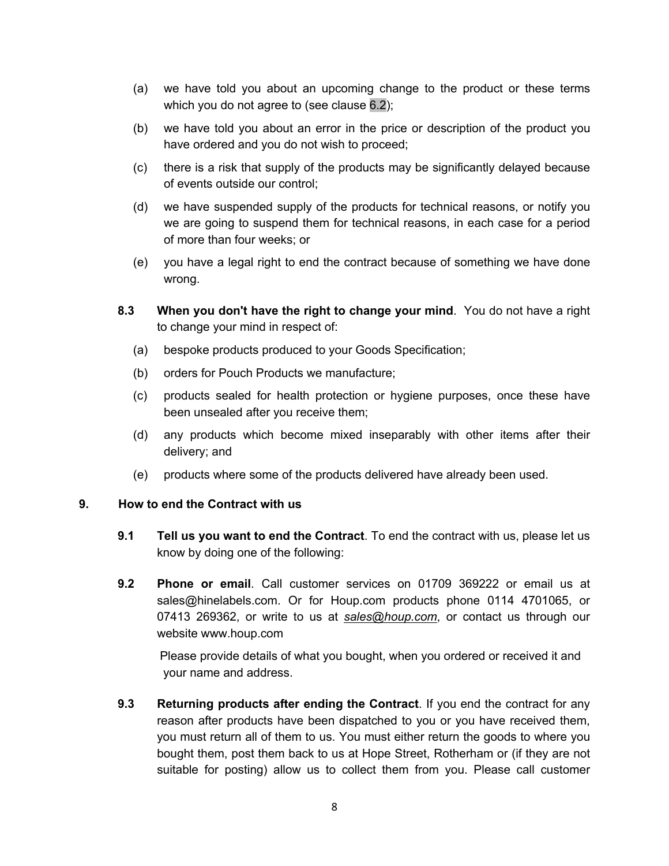- (a) we have told you about an upcoming change to the product or these terms which you do not agree to (see clause 6.2);
- (b) we have told you about an error in the price or description of the product you have ordered and you do not wish to proceed;
- (c) there is a risk that supply of the products may be significantly delayed because of events outside our control;
- (d) we have suspended supply of the products for technical reasons, or notify you we are going to suspend them for technical reasons, in each case for a period of more than four weeks; or
- (e) you have a legal right to end the contract because of something we have done wrong.
- **8.3 When you don't have the right to change your mind**. You do not have a right to change your mind in respect of:
	- (a) bespoke products produced to your Goods Specification;
	- (b) orders for Pouch Products we manufacture;
	- (c) products sealed for health protection or hygiene purposes, once these have been unsealed after you receive them;
	- (d) any products which become mixed inseparably with other items after their delivery; and
	- (e) products where some of the products delivered have already been used.

# **9. How to end the Contract with us**

- **9.1 Tell us you want to end the Contract**. To end the contract with us, please let us know by doing one of the following:
- **9.2 Phone or email**. Call customer services on 01709 369222 or email us at sales@hinelabels.com. Or for Houp.com products phone 0114 4701065, or 07413 269362, or write to us at *sales@houp.com*, or contact us through our website www.houp.com

 Please provide details of what you bought, when you ordered or received it and your name and address.

**9.3 Returning products after ending the Contract**. If you end the contract for any reason after products have been dispatched to you or you have received them, you must return all of them to us. You must either return the goods to where you bought them, post them back to us at Hope Street, Rotherham or (if they are not suitable for posting) allow us to collect them from you. Please call customer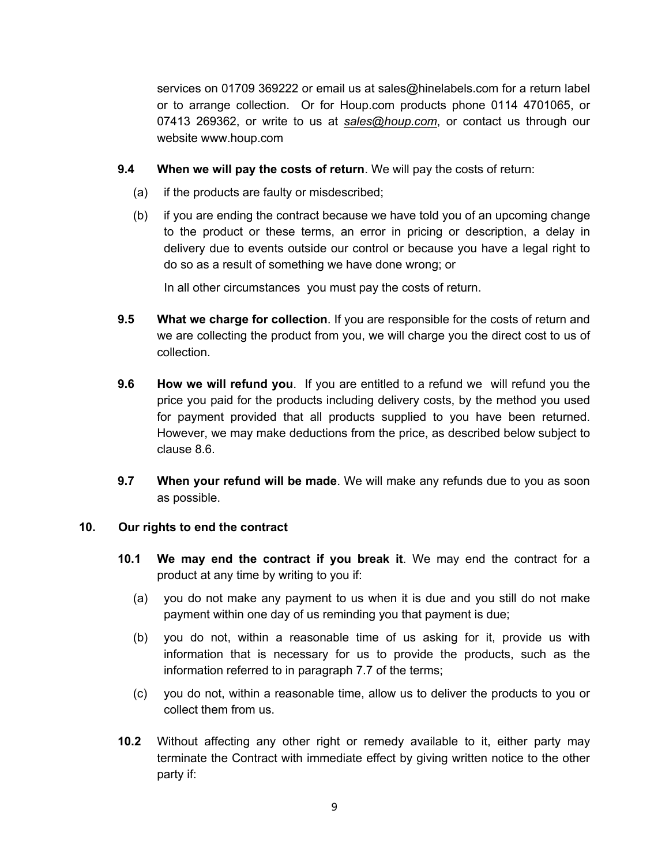services on 01709 369222 or email us at sales@hinelabels.com for a return label or to arrange collection. Or for Houp.com products phone 0114 4701065, or 07413 269362, or write to us at *sales@houp.com*, or contact us through our website www.houp.com

- **9.4 When we will pay the costs of return**. We will pay the costs of return:
	- (a) if the products are faulty or misdescribed;
	- (b) if you are ending the contract because we have told you of an upcoming change to the product or these terms, an error in pricing or description, a delay in delivery due to events outside our control or because you have a legal right to do so as a result of something we have done wrong; or

In all other circumstances you must pay the costs of return.

- **9.5 What we charge for collection**. If you are responsible for the costs of return and we are collecting the product from you, we will charge you the direct cost to us of collection.
- **9.6 How we will refund you**. If you are entitled to a refund we will refund you the price you paid for the products including delivery costs, by the method you used for payment provided that all products supplied to you have been returned. However, we may make deductions from the price, as described below subject to clause 8.6.
- **9.7 When your refund will be made**. We will make any refunds due to you as soon as possible.

#### **10. Our rights to end the contract**

- **10.1 We may end the contract if you break it**. We may end the contract for a product at any time by writing to you if:
	- (a) you do not make any payment to us when it is due and you still do not make payment within one day of us reminding you that payment is due;
	- (b) you do not, within a reasonable time of us asking for it, provide us with information that is necessary for us to provide the products, such as the information referred to in paragraph 7.7 of the terms;
	- (c) you do not, within a reasonable time, allow us to deliver the products to you or collect them from us.
- **10.2** Without affecting any other right or remedy available to it, either party may terminate the Contract with immediate effect by giving written notice to the other party if: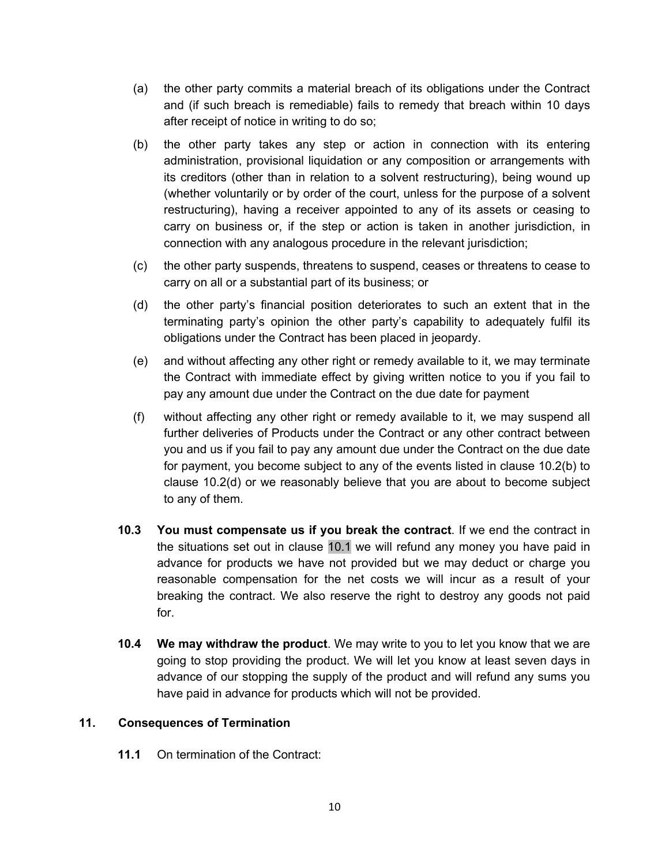- (a) the other party commits a material breach of its obligations under the Contract and (if such breach is remediable) fails to remedy that breach within 10 days after receipt of notice in writing to do so;
- (b) the other party takes any step or action in connection with its entering administration, provisional liquidation or any composition or arrangements with its creditors (other than in relation to a solvent restructuring), being wound up (whether voluntarily or by order of the court, unless for the purpose of a solvent restructuring), having a receiver appointed to any of its assets or ceasing to carry on business or, if the step or action is taken in another jurisdiction, in connection with any analogous procedure in the relevant jurisdiction;
- (c) the other party suspends, threatens to suspend, ceases or threatens to cease to carry on all or a substantial part of its business; or
- (d) the other party's financial position deteriorates to such an extent that in the terminating party's opinion the other party's capability to adequately fulfil its obligations under the Contract has been placed in jeopardy.
- (e) and without affecting any other right or remedy available to it, we may terminate the Contract with immediate effect by giving written notice to you if you fail to pay any amount due under the Contract on the due date for payment
- (f) without affecting any other right or remedy available to it, we may suspend all further deliveries of Products under the Contract or any other contract between you and us if you fail to pay any amount due under the Contract on the due date for payment, you become subject to any of the events listed in clause 10.2(b) to clause 10.2(d) or we reasonably believe that you are about to become subject to any of them.
- **10.3 You must compensate us if you break the contract**. If we end the contract in the situations set out in clause 10.1 we will refund any money you have paid in advance for products we have not provided but we may deduct or charge you reasonable compensation for the net costs we will incur as a result of your breaking the contract. We also reserve the right to destroy any goods not paid for.
- **10.4 We may withdraw the product**. We may write to you to let you know that we are going to stop providing the product. We will let you know at least seven days in advance of our stopping the supply of the product and will refund any sums you have paid in advance for products which will not be provided.

# **11. Consequences of Termination**

**11.1** On termination of the Contract: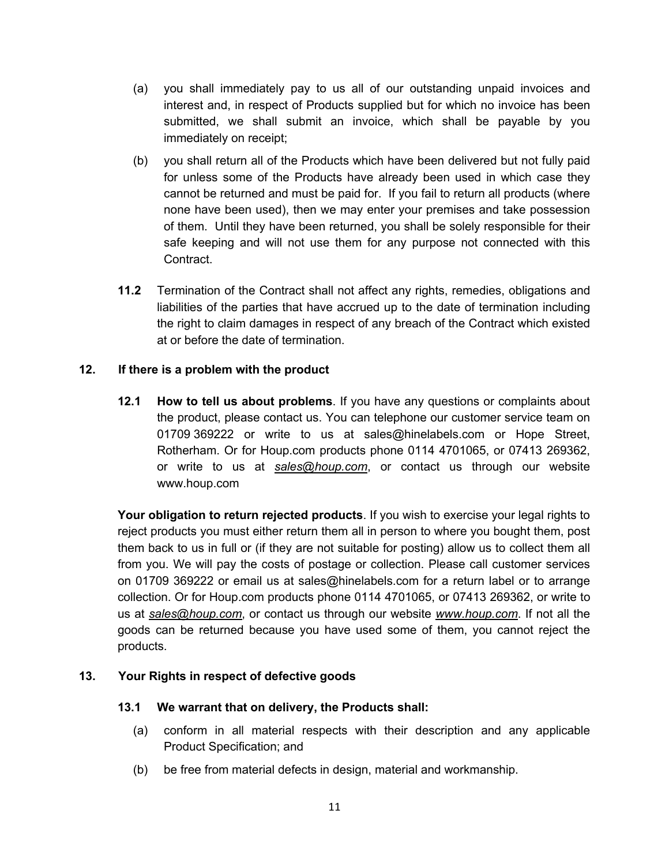- (a) you shall immediately pay to us all of our outstanding unpaid invoices and interest and, in respect of Products supplied but for which no invoice has been submitted, we shall submit an invoice, which shall be payable by you immediately on receipt;
- (b) you shall return all of the Products which have been delivered but not fully paid for unless some of the Products have already been used in which case they cannot be returned and must be paid for. If you fail to return all products (where none have been used), then we may enter your premises and take possession of them. Until they have been returned, you shall be solely responsible for their safe keeping and will not use them for any purpose not connected with this Contract.
- **11.2** Termination of the Contract shall not affect any rights, remedies, obligations and liabilities of the parties that have accrued up to the date of termination including the right to claim damages in respect of any breach of the Contract which existed at or before the date of termination.

# **12. If there is a problem with the product**

**12.1 How to tell us about problems**. If you have any questions or complaints about the product, please contact us. You can telephone our customer service team on 01709 369222 or write to us at sales@hinelabels.com or Hope Street, Rotherham. Or for Houp.com products phone 0114 4701065, or 07413 269362, or write to us at *sales@houp.com*, or contact us through our website www.houp.com

**Your obligation to return rejected products**. If you wish to exercise your legal rights to reject products you must either return them all in person to where you bought them, post them back to us in full or (if they are not suitable for posting) allow us to collect them all from you. We will pay the costs of postage or collection. Please call customer services on 01709 369222 or email us at sales@hinelabels.com for a return label or to arrange collection. Or for Houp.com products phone 0114 4701065, or 07413 269362, or write to us at *sales@houp.com*, or contact us through our website *www.houp.com*. If not all the goods can be returned because you have used some of them, you cannot reject the products.

# **13. Your Rights in respect of defective goods**

# **13.1 We warrant that on delivery, the Products shall:**

- (a) conform in all material respects with their description and any applicable Product Specification; and
- (b) be free from material defects in design, material and workmanship.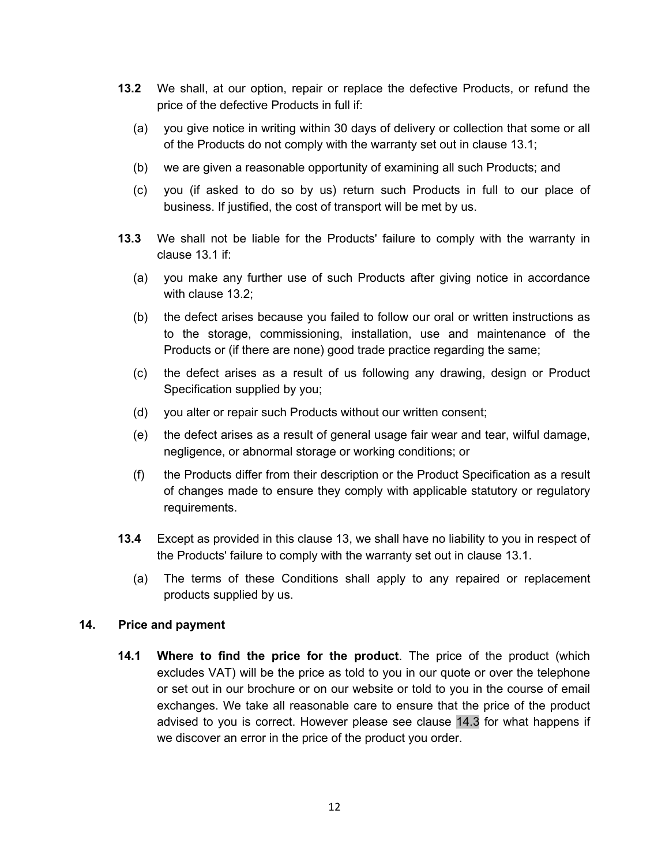- **13.2** We shall, at our option, repair or replace the defective Products, or refund the price of the defective Products in full if:
	- (a) you give notice in writing within 30 days of delivery or collection that some or all of the Products do not comply with the warranty set out in clause 13.1;
	- (b) we are given a reasonable opportunity of examining all such Products; and
	- (c) you (if asked to do so by us) return such Products in full to our place of business. If justified, the cost of transport will be met by us.
- **13.3** We shall not be liable for the Products' failure to comply with the warranty in clause 13.1 if:
	- (a) you make any further use of such Products after giving notice in accordance with clause 13.2;
	- (b) the defect arises because you failed to follow our oral or written instructions as to the storage, commissioning, installation, use and maintenance of the Products or (if there are none) good trade practice regarding the same;
	- (c) the defect arises as a result of us following any drawing, design or Product Specification supplied by you;
	- (d) you alter or repair such Products without our written consent;
	- (e) the defect arises as a result of general usage fair wear and tear, wilful damage, negligence, or abnormal storage or working conditions; or
	- (f) the Products differ from their description or the Product Specification as a result of changes made to ensure they comply with applicable statutory or regulatory requirements.
- **13.4** Except as provided in this clause 13, we shall have no liability to you in respect of the Products' failure to comply with the warranty set out in clause 13.1.
	- (a) The terms of these Conditions shall apply to any repaired or replacement products supplied by us.

# **14. Price and payment**

**14.1 Where to find the price for the product**. The price of the product (which excludes VAT) will be the price as told to you in our quote or over the telephone or set out in our brochure or on our website or told to you in the course of email exchanges. We take all reasonable care to ensure that the price of the product advised to you is correct. However please see clause 14.3 for what happens if we discover an error in the price of the product you order.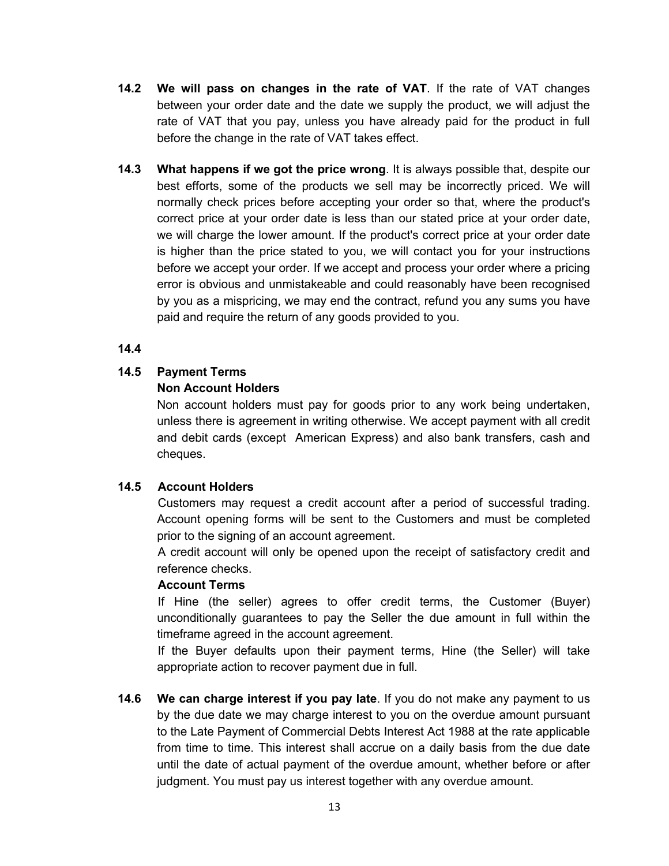- **14.2 We will pass on changes in the rate of VAT**. If the rate of VAT changes between your order date and the date we supply the product, we will adjust the rate of VAT that you pay, unless you have already paid for the product in full before the change in the rate of VAT takes effect.
- **14.3 What happens if we got the price wrong**. It is always possible that, despite our best efforts, some of the products we sell may be incorrectly priced. We will normally check prices before accepting your order so that, where the product's correct price at your order date is less than our stated price at your order date, we will charge the lower amount. If the product's correct price at your order date is higher than the price stated to you, we will contact you for your instructions before we accept your order. If we accept and process your order where a pricing error is obvious and unmistakeable and could reasonably have been recognised by you as a mispricing, we may end the contract, refund you any sums you have paid and require the return of any goods provided to you.

#### **14.4**

# **14.5 Payment Terms**

# **Non Account Holders**

Non account holders must pay for goods prior to any work being undertaken, unless there is agreement in writing otherwise. We accept payment with all credit and debit cards (except American Express) and also bank transfers, cash and cheques.

# **14.5 Account Holders**

 Customers may request a credit account after a period of successful trading. Account opening forms will be sent to the Customers and must be completed prior to the signing of an account agreement.

 A credit account will only be opened upon the receipt of satisfactory credit and reference checks.

#### **Account Terms**

If Hine (the seller) agrees to offer credit terms, the Customer (Buyer) unconditionally guarantees to pay the Seller the due amount in full within the timeframe agreed in the account agreement.

 If the Buyer defaults upon their payment terms, Hine (the Seller) will take appropriate action to recover payment due in full.

**14.6 We can charge interest if you pay late**. If you do not make any payment to us by the due date we may charge interest to you on the overdue amount pursuant to the Late Payment of Commercial Debts Interest Act 1988 at the rate applicable from time to time. This interest shall accrue on a daily basis from the due date until the date of actual payment of the overdue amount, whether before or after judgment. You must pay us interest together with any overdue amount.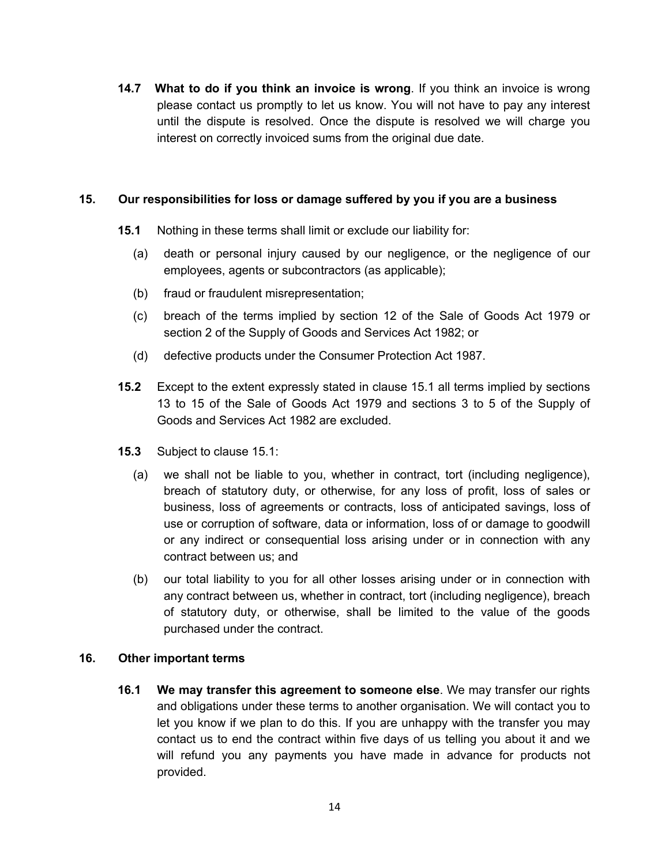**14.7 What to do if you think an invoice is wrong**. If you think an invoice is wrong please contact us promptly to let us know. You will not have to pay any interest until the dispute is resolved. Once the dispute is resolved we will charge you interest on correctly invoiced sums from the original due date.

#### **15. Our responsibilities for loss or damage suffered by you if you are a business**

- **15.1** Nothing in these terms shall limit or exclude our liability for:
	- (a) death or personal injury caused by our negligence, or the negligence of our employees, agents or subcontractors (as applicable);
	- (b) fraud or fraudulent misrepresentation;
	- (c) breach of the terms implied by section 12 of the Sale of Goods Act 1979 or section 2 of the Supply of Goods and Services Act 1982; or
	- (d) defective products under the Consumer Protection Act 1987.
- **15.2** Except to the extent expressly stated in clause 15.1 all terms implied by sections 13 to 15 of the Sale of Goods Act 1979 and sections 3 to 5 of the Supply of Goods and Services Act 1982 are excluded.
- **15.3** Subject to clause 15.1:
	- (a) we shall not be liable to you, whether in contract, tort (including negligence), breach of statutory duty, or otherwise, for any loss of profit, loss of sales or business, loss of agreements or contracts, loss of anticipated savings, loss of use or corruption of software, data or information, loss of or damage to goodwill or any indirect or consequential loss arising under or in connection with any contract between us; and
	- (b) our total liability to you for all other losses arising under or in connection with any contract between us, whether in contract, tort (including negligence), breach of statutory duty, or otherwise, shall be limited to the value of the goods purchased under the contract.

#### **16. Other important terms**

**16.1 We may transfer this agreement to someone else**. We may transfer our rights and obligations under these terms to another organisation. We will contact you to let you know if we plan to do this. If you are unhappy with the transfer you may contact us to end the contract within five days of us telling you about it and we will refund you any payments you have made in advance for products not provided.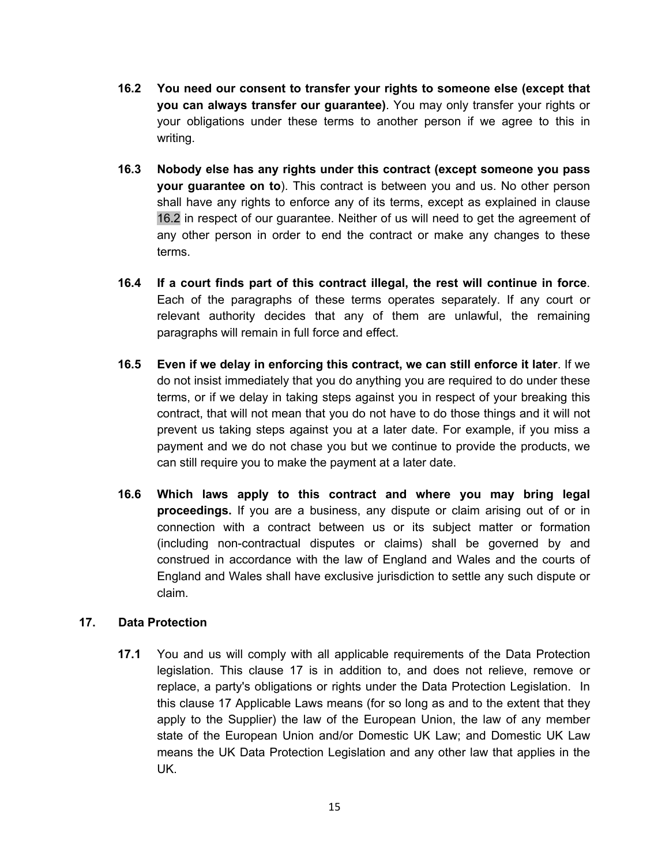- **16.2 You need our consent to transfer your rights to someone else (except that you can always transfer our guarantee)**. You may only transfer your rights or your obligations under these terms to another person if we agree to this in writing.
- **16.3 Nobody else has any rights under this contract (except someone you pass your guarantee on to**). This contract is between you and us. No other person shall have any rights to enforce any of its terms, except as explained in clause 16.2 in respect of our guarantee. Neither of us will need to get the agreement of any other person in order to end the contract or make any changes to these terms.
- **16.4 If a court finds part of this contract illegal, the rest will continue in force**. Each of the paragraphs of these terms operates separately. If any court or relevant authority decides that any of them are unlawful, the remaining paragraphs will remain in full force and effect.
- **16.5 Even if we delay in enforcing this contract, we can still enforce it later**. If we do not insist immediately that you do anything you are required to do under these terms, or if we delay in taking steps against you in respect of your breaking this contract, that will not mean that you do not have to do those things and it will not prevent us taking steps against you at a later date. For example, if you miss a payment and we do not chase you but we continue to provide the products, we can still require you to make the payment at a later date.
- **16.6 Which laws apply to this contract and where you may bring legal proceedings.** If you are a business, any dispute or claim arising out of or in connection with a contract between us or its subject matter or formation (including non-contractual disputes or claims) shall be governed by and construed in accordance with the law of England and Wales and the courts of England and Wales shall have exclusive jurisdiction to settle any such dispute or claim.

# **17. Data Protection**

**17.1** You and us will comply with all applicable requirements of the Data Protection legislation. This clause 17 is in addition to, and does not relieve, remove or replace, a party's obligations or rights under the Data Protection Legislation. In this clause 17 Applicable Laws means (for so long as and to the extent that they apply to the Supplier) the law of the European Union, the law of any member state of the European Union and/or Domestic UK Law; and Domestic UK Law means the UK Data Protection Legislation and any other law that applies in the UK.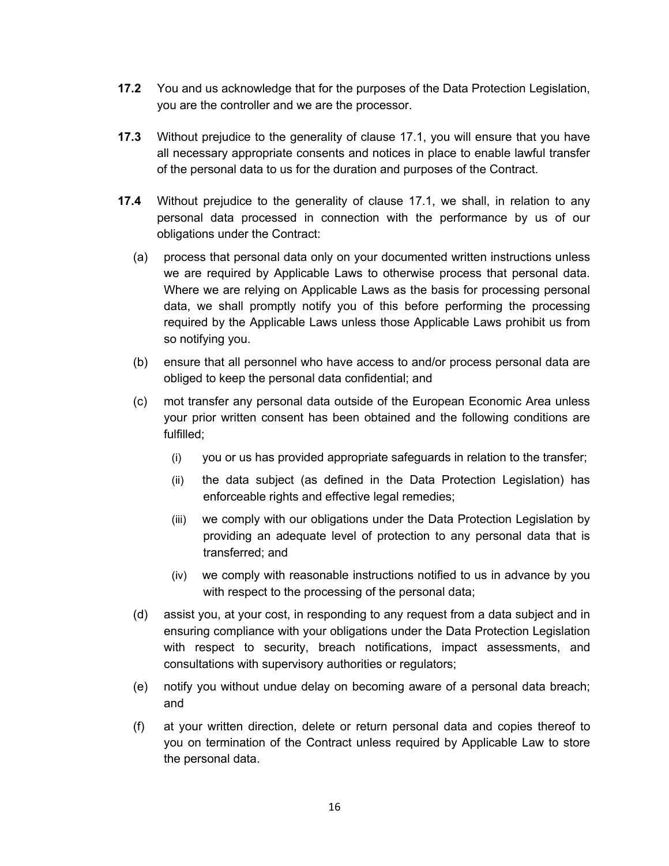- **17.2** You and us acknowledge that for the purposes of the Data Protection Legislation, you are the controller and we are the processor.
- **17.3** Without prejudice to the generality of clause 17.1, you will ensure that you have all necessary appropriate consents and notices in place to enable lawful transfer of the personal data to us for the duration and purposes of the Contract.
- **17.4** Without prejudice to the generality of clause 17.1, we shall, in relation to any personal data processed in connection with the performance by us of our obligations under the Contract:
	- (a) process that personal data only on your documented written instructions unless we are required by Applicable Laws to otherwise process that personal data. Where we are relying on Applicable Laws as the basis for processing personal data, we shall promptly notify you of this before performing the processing required by the Applicable Laws unless those Applicable Laws prohibit us from so notifying you.
	- (b) ensure that all personnel who have access to and/or process personal data are obliged to keep the personal data confidential; and
	- (c) mot transfer any personal data outside of the European Economic Area unless your prior written consent has been obtained and the following conditions are fulfilled;
		- (i) you or us has provided appropriate safeguards in relation to the transfer;
		- (ii) the data subject (as defined in the Data Protection Legislation) has enforceable rights and effective legal remedies;
		- (iii) we comply with our obligations under the Data Protection Legislation by providing an adequate level of protection to any personal data that is transferred; and
		- (iv) we comply with reasonable instructions notified to us in advance by you with respect to the processing of the personal data;
	- (d) assist you, at your cost, in responding to any request from a data subject and in ensuring compliance with your obligations under the Data Protection Legislation with respect to security, breach notifications, impact assessments, and consultations with supervisory authorities or regulators;
	- (e) notify you without undue delay on becoming aware of a personal data breach; and
	- (f) at your written direction, delete or return personal data and copies thereof to you on termination of the Contract unless required by Applicable Law to store the personal data.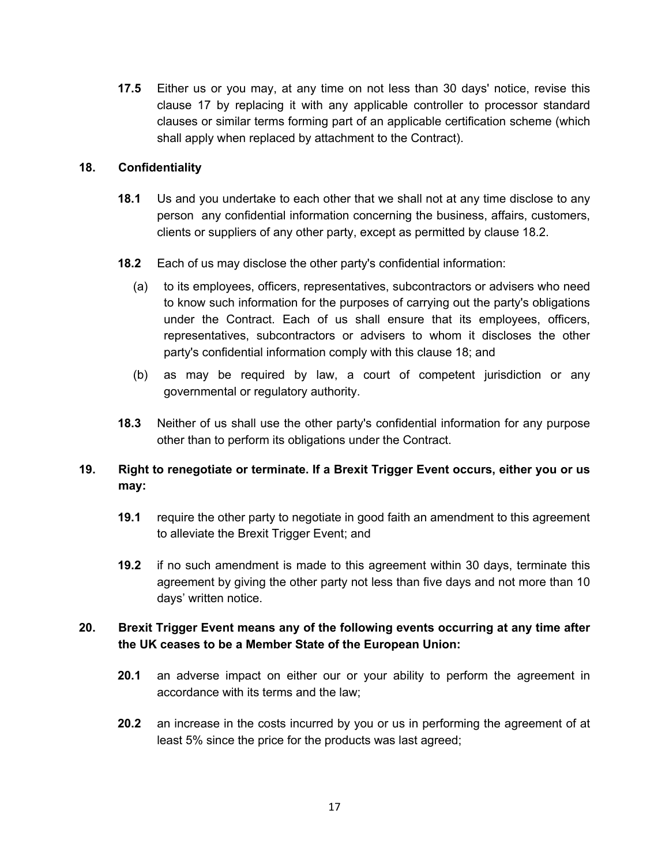**17.5** Either us or you may, at any time on not less than 30 days' notice, revise this clause 17 by replacing it with any applicable controller to processor standard clauses or similar terms forming part of an applicable certification scheme (which shall apply when replaced by attachment to the Contract).

#### **18. Confidentiality**

- **18.1** Us and you undertake to each other that we shall not at any time disclose to any person any confidential information concerning the business, affairs, customers, clients or suppliers of any other party, except as permitted by clause 18.2.
- **18.2** Each of us may disclose the other party's confidential information:
	- (a) to its employees, officers, representatives, subcontractors or advisers who need to know such information for the purposes of carrying out the party's obligations under the Contract. Each of us shall ensure that its employees, officers, representatives, subcontractors or advisers to whom it discloses the other party's confidential information comply with this clause 18; and
	- (b) as may be required by law, a court of competent jurisdiction or any governmental or regulatory authority.
- **18.3** Neither of us shall use the other party's confidential information for any purpose other than to perform its obligations under the Contract.
- **19. Right to renegotiate or terminate. If a Brexit Trigger Event occurs, either you or us may:**
	- **19.1** require the other party to negotiate in good faith an amendment to this agreement to alleviate the Brexit Trigger Event; and
	- **19.2** if no such amendment is made to this agreement within 30 days, terminate this agreement by giving the other party not less than five days and not more than 10 days' written notice.

# **20. Brexit Trigger Event means any of the following events occurring at any time after the UK ceases to be a Member State of the European Union:**

- **20.1** an adverse impact on either our or your ability to perform the agreement in accordance with its terms and the law;
- **20.2** an increase in the costs incurred by you or us in performing the agreement of at least 5% since the price for the products was last agreed;